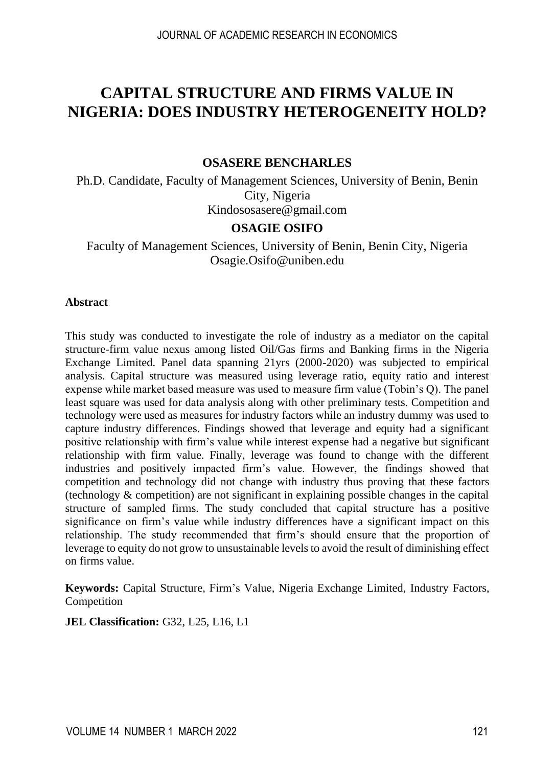# **CAPITAL STRUCTURE AND FIRMS VALUE IN NIGERIA: DOES INDUSTRY HETEROGENEITY HOLD?**

#### **OSASERE BENCHARLES**

Ph.D. Candidate, Faculty of Management Sciences, University of Benin, Benin City, Nigeria [Kindososasere@gmail.com](mailto:Kindososasere@gmail.com)

#### **OSAGIE OSIFO**

Faculty of Management Sciences, University of Benin, Benin City, Nigeria [Osagie.Osifo@uniben.edu](mailto:Osagie.Osifo@uniben.edu)

#### **Abstract**

This study was conducted to investigate the role of industry as a mediator on the capital structure-firm value nexus among listed Oil/Gas firms and Banking firms in the Nigeria Exchange Limited. Panel data spanning 21yrs (2000-2020) was subjected to empirical analysis. Capital structure was measured using leverage ratio, equity ratio and interest expense while market based measure was used to measure firm value (Tobin's Q). The panel least square was used for data analysis along with other preliminary tests. Competition and technology were used as measures for industry factors while an industry dummy was used to capture industry differences. Findings showed that leverage and equity had a significant positive relationship with firm's value while interest expense had a negative but significant relationship with firm value. Finally, leverage was found to change with the different industries and positively impacted firm's value. However, the findings showed that competition and technology did not change with industry thus proving that these factors (technology & competition) are not significant in explaining possible changes in the capital structure of sampled firms. The study concluded that capital structure has a positive significance on firm's value while industry differences have a significant impact on this relationship. The study recommended that firm's should ensure that the proportion of leverage to equity do not grow to unsustainable levels to avoid the result of diminishing effect on firms value.

**Keywords:** Capital Structure, Firm's Value, Nigeria Exchange Limited, Industry Factors, Competition

#### **JEL Classification:** G32, L25, L16, L1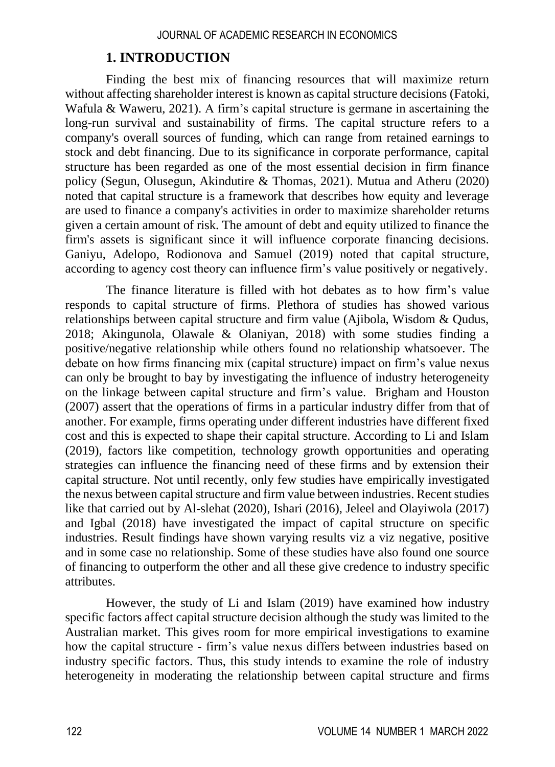### **1. INTRODUCTION**

Finding the best mix of financing resources that will maximize return without affecting shareholder interest is known as capital structure decisions (Fatoki, Wafula & Waweru, 2021). A firm's capital structure is germane in ascertaining the long-run survival and sustainability of firms. The capital structure refers to a company's overall sources of funding, which can range from retained earnings to stock and debt financing. Due to its significance in corporate performance, capital structure has been regarded as one of the most essential decision in firm finance policy (Segun, Olusegun, Akindutire & Thomas, 2021). Mutua and Atheru (2020) noted that capital structure is a framework that describes how equity and leverage are used to finance a company's activities in order to maximize shareholder returns given a certain amount of risk. The amount of debt and equity utilized to finance the firm's assets is significant since it will influence corporate financing decisions. Ganiyu, Adelopo, Rodionova and Samuel (2019) noted that capital structure, according to agency cost theory can influence firm's value positively or negatively.

The finance literature is filled with hot debates as to how firm's value responds to capital structure of firms. Plethora of studies has showed various relationships between capital structure and firm value (Ajibola, Wisdom & Qudus, 2018; Akingunola, Olawale & Olaniyan, 2018) with some studies finding a positive/negative relationship while others found no relationship whatsoever. The debate on how firms financing mix (capital structure) impact on firm's value nexus can only be brought to bay by investigating the influence of industry heterogeneity on the linkage between capital structure and firm's value. Brigham and Houston (2007) assert that the operations of firms in a particular industry differ from that of another. For example, firms operating under different industries have different fixed cost and this is expected to shape their capital structure. According to Li and Islam (2019), factors like competition, technology growth opportunities and operating strategies can influence the financing need of these firms and by extension their capital structure. Not until recently, only few studies have empirically investigated the nexus between capital structure and firm value between industries. Recent studies like that carried out by Al-slehat (2020), Ishari (2016), Jeleel and Olayiwola (2017) and Igbal (2018) have investigated the impact of capital structure on specific industries. Result findings have shown varying results viz a viz negative, positive and in some case no relationship. Some of these studies have also found one source of financing to outperform the other and all these give credence to industry specific attributes.

However, the study of Li and Islam (2019) have examined how industry specific factors affect capital structure decision although the study was limited to the Australian market. This gives room for more empirical investigations to examine how the capital structure - firm's value nexus differs between industries based on industry specific factors. Thus, this study intends to examine the role of industry heterogeneity in moderating the relationship between capital structure and firms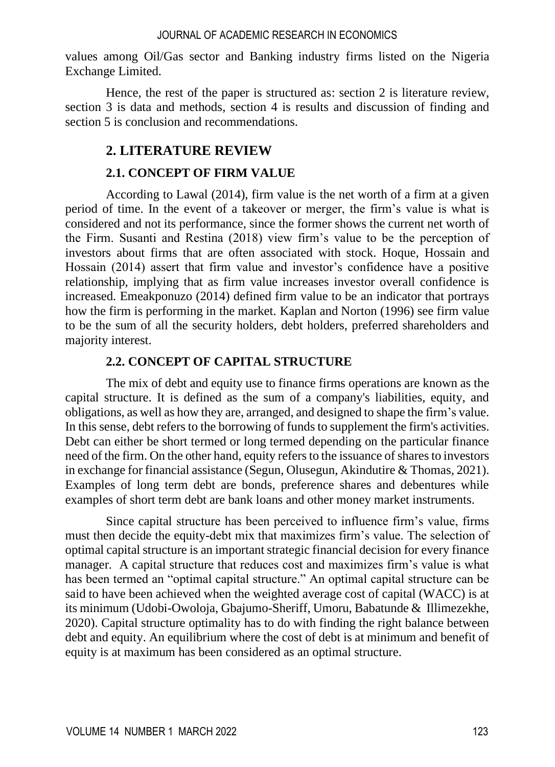values among Oil/Gas sector and Banking industry firms listed on the Nigeria Exchange Limited.

Hence, the rest of the paper is structured as: section 2 is literature review, section 3 is data and methods, section 4 is results and discussion of finding and section 5 is conclusion and recommendations.

## **2. LITERATURE REVIEW**

## **2.1. CONCEPT OF FIRM VALUE**

According to Lawal (2014), firm value is the net worth of a firm at a given period of time. In the event of a takeover or merger, the firm's value is what is considered and not its performance, since the former shows the current net worth of the Firm. Susanti and Restina (2018) view firm's value to be the perception of investors about firms that are often associated with stock. Hoque, Hossain and Hossain (2014) assert that firm value and investor's confidence have a positive relationship, implying that as firm value increases investor overall confidence is increased. Emeakponuzo (2014) defined firm value to be an indicator that portrays how the firm is performing in the market. Kaplan and Norton (1996) see firm value to be the sum of all the security holders, debt holders, preferred shareholders and majority interest.

## **2.2. CONCEPT OF CAPITAL STRUCTURE**

The mix of debt and equity use to finance firms operations are known as the capital structure. It is defined as the sum of a company's liabilities, equity, and obligations, as well as how they are, arranged, and designed to shape the firm's value. In this sense, debt refers to the borrowing of funds to supplement the firm's activities. Debt can either be short termed or long termed depending on the particular finance need of the firm. On the other hand, equity refers to the issuance of shares to investors in exchange for financial assistance (Segun, Olusegun, Akindutire & Thomas, 2021). Examples of long term debt are bonds, preference shares and debentures while examples of short term debt are bank loans and other money market instruments.

Since capital structure has been perceived to influence firm's value, firms must then decide the equity-debt mix that maximizes firm's value. The selection of optimal capital structure is an important strategic financial decision for every finance manager. A capital structure that reduces cost and maximizes firm's value is what has been termed an "optimal capital structure." An optimal capital structure can be said to have been achieved when the weighted average cost of capital (WACC) is at its minimum (Udobi-Owoloja, Gbajumo-Sheriff, Umoru, Babatunde & Illimezekhe, 2020). Capital structure optimality has to do with finding the right balance between debt and equity. An equilibrium where the cost of debt is at minimum and benefit of equity is at maximum has been considered as an optimal structure.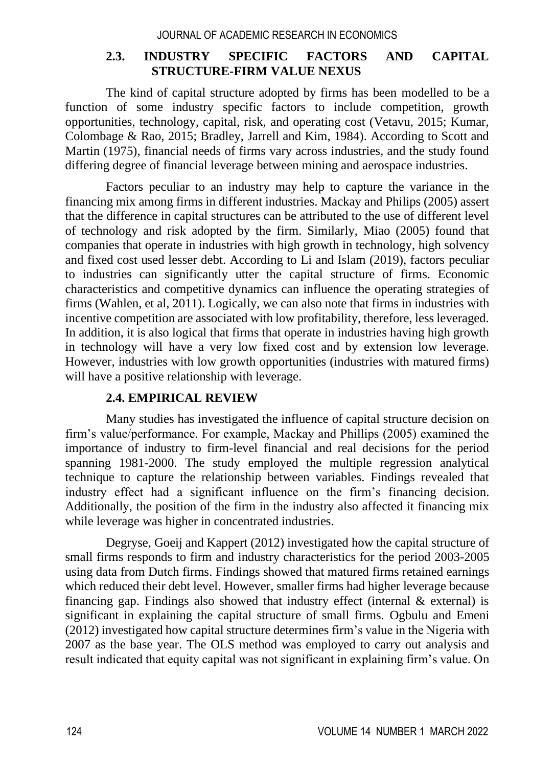### **2.3. INDUSTRY SPECIFIC FACTORS AND CAPITAL STRUCTURE-FIRM VALUE NEXUS**

The kind of capital structure adopted by firms has been modelled to be a function of some industry specific factors to include competition, growth opportunities, technology, capital, risk, and operating cost (Vetavu, 2015; Kumar, Colombage & Rao, 2015; Bradley, Jarrell and Kim, 1984). According to Scott and Martin (1975), financial needs of firms vary across industries, and the study found differing degree of financial leverage between mining and aerospace industries.

Factors peculiar to an industry may help to capture the variance in the financing mix among firms in different industries. Mackay and Philips (2005) assert that the difference in capital structures can be attributed to the use of different level of technology and risk adopted by the firm. Similarly, Miao (2005) found that companies that operate in industries with high growth in technology, high solvency and fixed cost used lesser debt. According to Li and Islam (2019), factors peculiar to industries can significantly utter the capital structure of firms. Economic characteristics and competitive dynamics can influence the operating strategies of firms (Wahlen, et al,  $2011$ ). Logically, we can also note that firms in industries with incentive competition are associated with low profitability, therefore, less leveraged. In addition, it is also logical that firms that operate in industries having high growth in technology will have a very low fixed cost and by extension low leverage. However, industries with low growth opportunities (industries with matured firms) will have a positive relationship with leverage.

### **2.4. EMPIRICAL REVIEW**

Many studies has investigated the influence of capital structure decision on firm's value/performance. For example, Mackay and Phillips (2005) examined the importance of industry to firm-level financial and real decisions for the period spanning 1981-2000. The study employed the multiple regression analytical technique to capture the relationship between variables. Findings revealed that industry effect had a significant influence on the firm's financing decision. Additionally, the position of the firm in the industry also affected it financing mix while leverage was higher in concentrated industries.

Degryse, Goeij and Kappert (2012) investigated how the capital structure of small firms responds to firm and industry characteristics for the period 2003-2005 using data from Dutch firms. Findings showed that matured firms retained earnings which reduced their debt level. However, smaller firms had higher leverage because financing gap. Findings also showed that industry effect (internal  $\&$  external) is significant in explaining the capital structure of small firms. Ogbulu and Emeni (2012) investigated how capital structure determines firm's value in the Nigeria with 2007 as the base year. The OLS method was employed to carry out analysis and result indicated that equity capital was not significant in explaining firm's value. On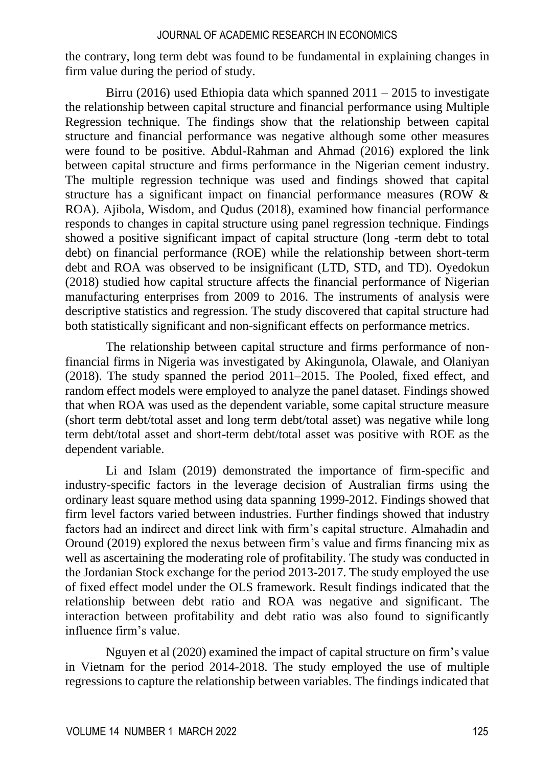the contrary, long term debt was found to be fundamental in explaining changes in firm value during the period of study.

Birru (2016) used Ethiopia data which spanned 2011 – 2015 to investigate the relationship between capital structure and financial performance using Multiple Regression technique. The findings show that the relationship between capital structure and financial performance was negative although some other measures were found to be positive. Abdul-Rahman and Ahmad (2016) explored the link between capital structure and firms performance in the Nigerian cement industry. The multiple regression technique was used and findings showed that capital structure has a significant impact on financial performance measures (ROW & ROA). Ajibola, Wisdom, and Qudus (2018), examined how financial performance responds to changes in capital structure using panel regression technique. Findings showed a positive significant impact of capital structure (long -term debt to total debt) on financial performance (ROE) while the relationship between short-term debt and ROA was observed to be insignificant (LTD, STD, and TD). Oyedokun (2018) studied how capital structure affects the financial performance of Nigerian manufacturing enterprises from 2009 to 2016. The instruments of analysis were descriptive statistics and regression. The study discovered that capital structure had both statistically significant and non-significant effects on performance metrics.

The relationship between capital structure and firms performance of nonfinancial firms in Nigeria was investigated by Akingunola, Olawale, and Olaniyan (2018). The study spanned the period 2011–2015. The Pooled, fixed effect, and random effect models were employed to analyze the panel dataset. Findings showed that when ROA was used as the dependent variable, some capital structure measure (short term debt/total asset and long term debt/total asset) was negative while long term debt/total asset and short-term debt/total asset was positive with ROE as the dependent variable.

Li and Islam (2019) demonstrated the importance of firm-specific and industry-specific factors in the leverage decision of Australian firms using the ordinary least square method using data spanning 1999-2012. Findings showed that firm level factors varied between industries. Further findings showed that industry factors had an indirect and direct link with firm's capital structure. Almahadin and Oround (2019) explored the nexus between firm's value and firms financing mix as well as ascertaining the moderating role of profitability. The study was conducted in the Jordanian Stock exchange for the period 2013-2017. The study employed the use of fixed effect model under the OLS framework. Result findings indicated that the relationship between debt ratio and ROA was negative and significant. The interaction between profitability and debt ratio was also found to significantly influence firm's value.

Nguyen et al (2020) examined the impact of capital structure on firm's value in Vietnam for the period 2014-2018. The study employed the use of multiple regressions to capture the relationship between variables. The findings indicated that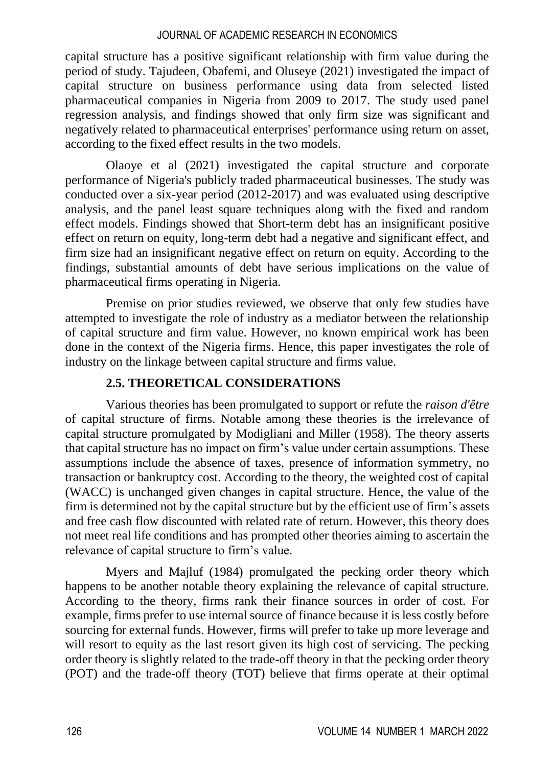capital structure has a positive significant relationship with firm value during the period of study. Tajudeen, Obafemi, and Oluseye (2021) investigated the impact of capital structure on business performance using data from selected listed pharmaceutical companies in Nigeria from 2009 to 2017. The study used panel regression analysis, and findings showed that only firm size was significant and negatively related to pharmaceutical enterprises' performance using return on asset, according to the fixed effect results in the two models.

Olaoye et al (2021) investigated the capital structure and corporate performance of Nigeria's publicly traded pharmaceutical businesses. The study was conducted over a six-year period (2012-2017) and was evaluated using descriptive analysis, and the panel least square techniques along with the fixed and random effect models. Findings showed that Short-term debt has an insignificant positive effect on return on equity, long-term debt had a negative and significant effect, and firm size had an insignificant negative effect on return on equity. According to the findings, substantial amounts of debt have serious implications on the value of pharmaceutical firms operating in Nigeria.

Premise on prior studies reviewed, we observe that only few studies have attempted to investigate the role of industry as a mediator between the relationship of capital structure and firm value. However, no known empirical work has been done in the context of the Nigeria firms. Hence, this paper investigates the role of industry on the linkage between capital structure and firms value.

## **2.5. THEORETICAL CONSIDERATIONS**

Various theories has been promulgated to support or refute the *raison d'être*  of capital structure of firms. Notable among these theories is the irrelevance of capital structure promulgated by Modigliani and Miller (1958). The theory asserts that capital structure has no impact on firm's value under certain assumptions. These assumptions include the absence of taxes, presence of information symmetry, no transaction or bankruptcy cost. According to the theory, the weighted cost of capital (WACC) is unchanged given changes in capital structure. Hence, the value of the firm is determined not by the capital structure but by the efficient use of firm's assets and free cash flow discounted with related rate of return. However, this theory does not meet real life conditions and has prompted other theories aiming to ascertain the relevance of capital structure to firm's value.

Myers and Majluf (1984) promulgated the pecking order theory which happens to be another notable theory explaining the relevance of capital structure. According to the theory, firms rank their finance sources in order of cost. For example, firms prefer to use internal source of finance because it is less costly before sourcing for external funds. However, firms will prefer to take up more leverage and will resort to equity as the last resort given its high cost of servicing. The pecking order theory is slightly related to the trade-off theory in that the pecking order theory (POT) and the trade-off theory (TOT) believe that firms operate at their optimal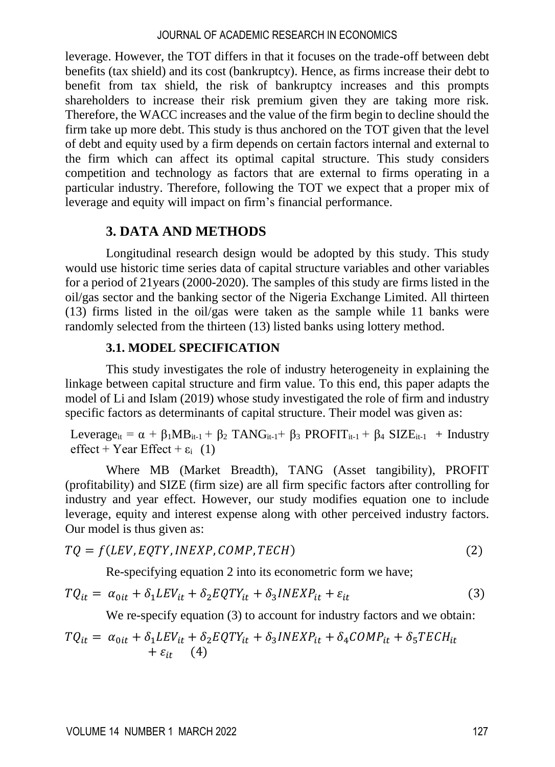leverage. However, the TOT differs in that it focuses on the trade-off between debt benefits (tax shield) and its cost (bankruptcy). Hence, as firms increase their debt to benefit from tax shield, the risk of bankruptcy increases and this prompts shareholders to increase their risk premium given they are taking more risk. Therefore, the WACC increases and the value of the firm begin to decline should the firm take up more debt. This study is thus anchored on the TOT given that the level of debt and equity used by a firm depends on certain factors internal and external to the firm which can affect its optimal capital structure. This study considers competition and technology as factors that are external to firms operating in a particular industry. Therefore, following the TOT we expect that a proper mix of leverage and equity will impact on firm's financial performance.

## **3. DATA AND METHODS**

Longitudinal research design would be adopted by this study. This study would use historic time series data of capital structure variables and other variables for a period of 21years (2000-2020). The samples of this study are firms listed in the oil/gas sector and the banking sector of the Nigeria Exchange Limited. All thirteen (13) firms listed in the oil/gas were taken as the sample while 11 banks were randomly selected from the thirteen (13) listed banks using lottery method.

## **3.1. MODEL SPECIFICATION**

This study investigates the role of industry heterogeneity in explaining the linkage between capital structure and firm value. To this end, this paper adapts the model of Li and Islam (2019) whose study investigated the role of firm and industry specific factors as determinants of capital structure. Their model was given as:

Leverage<sub>it</sub> =  $\alpha$  +  $\beta_1 MB_{it-1}$  +  $\beta_2$  TANG<sub>it-1</sub> +  $\beta_3$  PROFIT<sub>it-1</sub> +  $\beta_4$  SIZE<sub>it-1</sub> + Industry effect + Year Effect +  $\varepsilon_i$  (1)

Where MB (Market Breadth), TANG (Asset tangibility), PROFIT (profitability) and SIZE (firm size) are all firm specific factors after controlling for industry and year effect. However, our study modifies equation one to include leverage, equity and interest expense along with other perceived industry factors. Our model is thus given as:

$$
TQ = f(LEV, EQTY, INEXP, COMP, TECH)
$$
\n(2)

Re-specifying equation 2 into its econometric form we have;

$$
TQ_{it} = \alpha_{0it} + \delta_1 LEV_{it} + \delta_2 EQTY_{it} + \delta_3 INEXP_{it} + \varepsilon_{it}
$$
\n(3)

We re-specify equation (3) to account for industry factors and we obtain:

$$
TQ_{it} = \alpha_{0it} + \delta_1 LEV_{it} + \delta_2 EQTY_{it} + \delta_3 INEXP_{it} + \delta_4 COMP_{it} + \delta_5 TECH_{it} + \epsilon_{it} \tag{4}
$$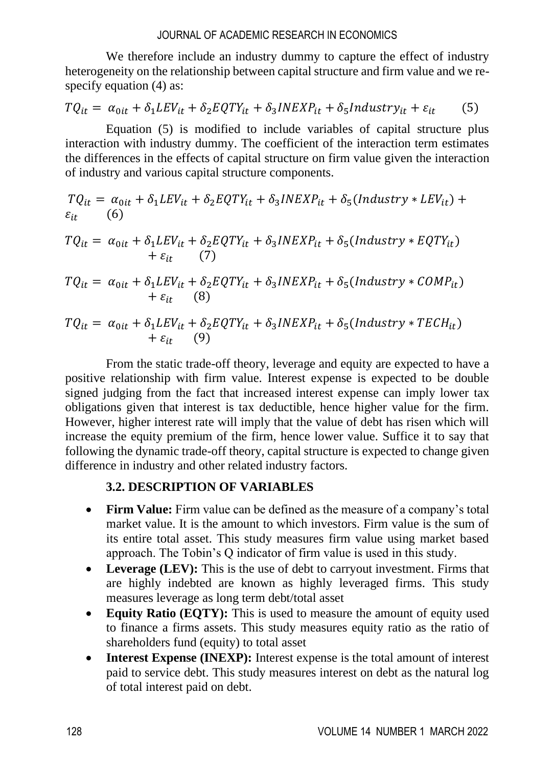We therefore include an industry dummy to capture the effect of industry heterogeneity on the relationship between capital structure and firm value and we respecify equation (4) as:

$$
TQ_{it} = \alpha_{0it} + \delta_1 LEV_{it} + \delta_2 EQTY_{it} + \delta_3 INEXP_{it} + \delta_5 Industry_{it} + \varepsilon_{it}
$$
 (5)

Equation (5) is modified to include variables of capital structure plus interaction with industry dummy. The coefficient of the interaction term estimates the differences in the effects of capital structure on firm value given the interaction of industry and various capital structure components.

$$
TQ_{it} = \alpha_{0it} + \delta_1 LEV_{it} + \delta_2 EQTY_{it} + \delta_3 INEXP_{it} + \delta_5(Industry * LEV_{it}) + \epsilon_{it}
$$
 (6)

$$
TQ_{it} = \alpha_{0it} + \delta_1 LEV_{it} + \delta_2 EQTY_{it} + \delta_3 INEXP_{it} + \delta_5(Industry * EQTY_{it})
$$
  
+  $\varepsilon_{it}$  (7)

$$
TQ_{it} = \alpha_{0it} + \delta_1 LEV_{it} + \delta_2 EQTY_{it} + \delta_3 INEXP_{it} + \delta_5(Industry * COMP_{it})
$$
  
+  $\varepsilon_{it}$  (8)

$$
TQ_{it} = \alpha_{0it} + \delta_1 LEV_{it} + \delta_2 EQTY_{it} + \delta_3 INEXP_{it} + \delta_5(Industry * TECH_{it})
$$
  
+  $\varepsilon_{it}$  (9)

From the static trade-off theory, leverage and equity are expected to have a positive relationship with firm value. Interest expense is expected to be double signed judging from the fact that increased interest expense can imply lower tax obligations given that interest is tax deductible, hence higher value for the firm. However, higher interest rate will imply that the value of debt has risen which will increase the equity premium of the firm, hence lower value. Suffice it to say that following the dynamic trade-off theory, capital structure is expected to change given difference in industry and other related industry factors.

### **3.2. DESCRIPTION OF VARIABLES**

- **Firm Value:** Firm value can be defined as the measure of a company's total market value. It is the amount to which investors. Firm value is the sum of its entire total asset. This study measures firm value using market based approach. The Tobin's Q indicator of firm value is used in this study.
- Leverage (LEV): This is the use of debt to carryout investment. Firms that are highly indebted are known as highly leveraged firms. This study measures leverage as long term debt/total asset
- **Equity Ratio (EQTY):** This is used to measure the amount of equity used to finance a firms assets. This study measures equity ratio as the ratio of shareholders fund (equity) to total asset
- **Interest Expense (INEXP):** Interest expense is the total amount of interest paid to service debt. This study measures interest on debt as the natural log of total interest paid on debt.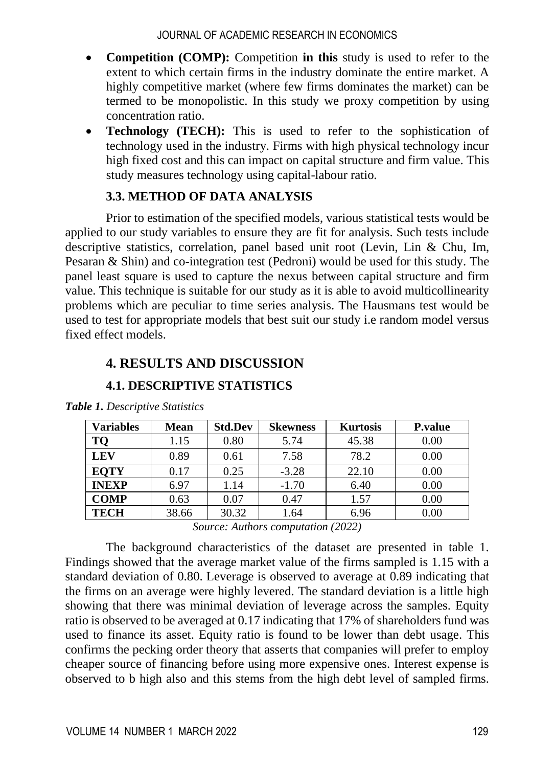- **Competition (COMP):** Competition **in this** study is used to refer to the extent to which certain firms in the industry dominate the entire market. A highly competitive market (where few firms dominates the market) can be termed to be monopolistic. In this study we proxy competition by using concentration ratio.
- **Technology (TECH):** This is used to refer to the sophistication of technology used in the industry. Firms with high physical technology incur high fixed cost and this can impact on capital structure and firm value. This study measures technology using capital-labour ratio.

## **3.3. METHOD OF DATA ANALYSIS**

Prior to estimation of the specified models, various statistical tests would be applied to our study variables to ensure they are fit for analysis. Such tests include descriptive statistics, correlation, panel based unit root (Levin, Lin & Chu, Im, Pesaran & Shin) and co-integration test (Pedroni) would be used for this study. The panel least square is used to capture the nexus between capital structure and firm value. This technique is suitable for our study as it is able to avoid multicollinearity problems which are peculiar to time series analysis. The Hausmans test would be used to test for appropriate models that best suit our study i.e random model versus fixed effect models.

## **4. RESULTS AND DISCUSSION**

**4.1. DESCRIPTIVE STATISTICS**

| <b>Variables</b> | <b>Mean</b> | <b>Std.Dev</b> | <b>Skewness</b> | <b>Kurtosis</b> | <b>P</b> .value |
|------------------|-------------|----------------|-----------------|-----------------|-----------------|
| TQ               | 1.15        | 0.80           | 5.74            | 45.38           | 0.00            |
| <b>LEV</b>       | 0.89        | 0.61           | 7.58            | 78.2            | 0.00            |
| <b>EQTY</b>      | 0.17        | 0.25           | $-3.28$         | 22.10           | 0.00            |
| <b>INEXP</b>     | 6.97        | 1.14           | $-1.70$         | 6.40            | 0.00            |
| <b>COMP</b>      | 0.63        | 0.07           | 0.47            | 1.57            | 0.00            |
| <b>TECH</b>      | 38.66       | 30.32          | 1.64            | 6.96            | 0.00            |

*Table 1. Descriptive Statistics*

*Source: Authors computation (2022)*

The background characteristics of the dataset are presented in table 1. Findings showed that the average market value of the firms sampled is 1.15 with a standard deviation of 0.80. Leverage is observed to average at 0.89 indicating that the firms on an average were highly levered. The standard deviation is a little high showing that there was minimal deviation of leverage across the samples. Equity ratio is observed to be averaged at 0.17 indicating that 17% of shareholders fund was used to finance its asset. Equity ratio is found to be lower than debt usage. This confirms the pecking order theory that asserts that companies will prefer to employ cheaper source of financing before using more expensive ones. Interest expense is observed to b high also and this stems from the high debt level of sampled firms.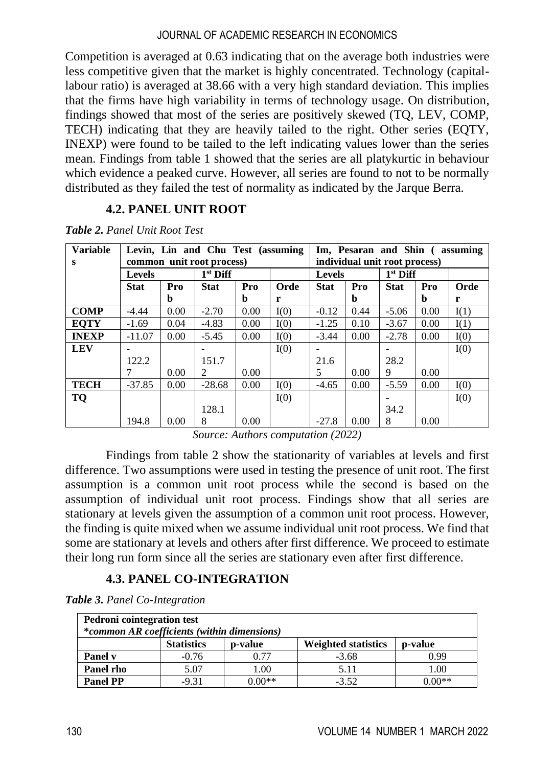Competition is averaged at 0.63 indicating that on the average both industries were less competitive given that the market is highly concentrated. Technology (capitallabour ratio) is averaged at 38.66 with a very high standard deviation. This implies that the firms have high variability in terms of technology usage. On distribution, findings showed that most of the series are positively skewed (TQ, LEV, COMP, TECH) indicating that they are heavily tailed to the right. Other series (EQTY, INEXP) were found to be tailed to the left indicating values lower than the series mean. Findings from table 1 showed that the series are all platykurtic in behaviour which evidence a peaked curve. However, all series are found to not to be normally distributed as they failed the test of normality as indicated by the Jarque Berra.

## **4.2. PANEL UNIT ROOT**

| <b>Variable</b> | Levin, Lin and Chu Test (assuming |      |             |      | Im, Pesaran and Shin (assuming |             |            |             |      |      |
|-----------------|-----------------------------------|------|-------------|------|--------------------------------|-------------|------------|-------------|------|------|
| S               | common unit root process)         |      |             |      | individual unit root process)  |             |            |             |      |      |
|                 | <b>Levels</b>                     |      | $1st$ Diff  |      | <b>Levels</b>                  |             | $1st$ Diff |             |      |      |
|                 | <b>Stat</b>                       | Pro  | <b>Stat</b> | Pro  | Orde                           | <b>Stat</b> | Pro        | <b>Stat</b> | Pro  | Orde |
|                 |                                   | h    |             | b    | r                              |             | b          |             | b    | r    |
| <b>COMP</b>     | $-4.44$                           | 0.00 | $-2.70$     | 0.00 | I(0)                           | $-0.12$     | 0.44       | $-5.06$     | 0.00 | I(1) |
| <b>EOTY</b>     | $-1.69$                           | 0.04 | $-4.83$     | 0.00 | I(0)                           | $-1.25$     | 0.10       | $-3.67$     | 0.00 | I(1) |
| <b>INEXP</b>    | $-11.07$                          | 0.00 | $-5.45$     | 0.00 | I(0)                           | $-3.44$     | 0.00       | $-2.78$     | 0.00 | I(0) |
| <b>LEV</b>      |                                   |      |             |      | I(0)                           |             |            |             |      | I(0) |
|                 | 122.2                             |      | 151.7       |      |                                | 21.6        |            | 28.2        |      |      |
|                 | 7                                 | 0.00 | 2           | 0.00 |                                | 5           | 0.00       | 9           | 0.00 |      |
| <b>TECH</b>     | $-37.85$                          | 0.00 | $-28.68$    | 0.00 | I(0)                           | $-4.65$     | 0.00       | $-5.59$     | 0.00 | I(0) |
| TQ              |                                   |      |             |      | I(0)                           |             |            |             |      | I(0) |
|                 |                                   |      | 128.1       |      |                                |             |            | 34.2        |      |      |
|                 | 194.8                             | 0.00 | 8           | 0.00 |                                | $-27.8$     | 0.00       | 8           | 0.00 |      |

*Table 2. Panel Unit Root Test*

*Source: Authors computation (2022)*

Findings from table 2 show the stationarity of variables at levels and first difference. Two assumptions were used in testing the presence of unit root. The first assumption is a common unit root process while the second is based on the assumption of individual unit root process. Findings show that all series are stationary at levels given the assumption of a common unit root process. However, the finding is quite mixed when we assume individual unit root process. We find that some are stationary at levels and others after first difference. We proceed to estimate their long run form since all the series are stationary even after first difference.

#### **4.3. PANEL CO-INTEGRATION**

*Table 3. Panel Co-Integration*

| <b>Pedroni</b> cointegration test<br>*common AR coefficients (within dimensions) |                   |         |                            |         |  |  |  |
|----------------------------------------------------------------------------------|-------------------|---------|----------------------------|---------|--|--|--|
|                                                                                  | <b>Statistics</b> | p-value | <b>Weighted statistics</b> | p-value |  |  |  |
| Panel v                                                                          | $-0.76$           | 0.77    | $-3.68$                    | 0.99    |  |  |  |
| Panel rho                                                                        | 5.07              | 1.00    | 5.11                       | 1.00    |  |  |  |
| <b>Panel PP</b>                                                                  | $-9.31$           | 0 00**  | $-3.52$                    | . በበ**  |  |  |  |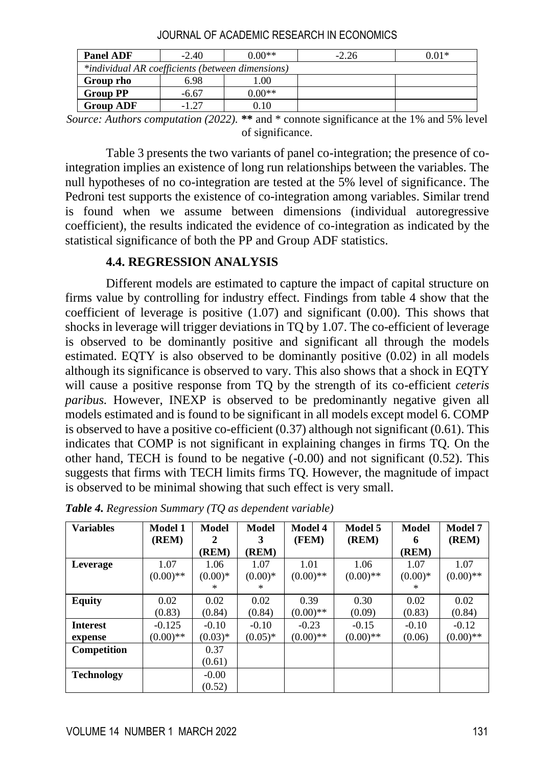| <b>Panel ADF</b>                                 | $-2.40$ | $0.00**$ | $-2.26$ | $0.01*$ |  |  |  |
|--------------------------------------------------|---------|----------|---------|---------|--|--|--|
| *individual AR coefficients (between dimensions) |         |          |         |         |  |  |  |
| Group rho                                        | 6.98    | .00.     |         |         |  |  |  |
| <b>Group PP</b>                                  | $-6.67$ | $0.00**$ |         |         |  |  |  |
| <b>Group ADF</b>                                 | $-1.27$ | $0.10\,$ |         |         |  |  |  |

JOURNAL OF ACADEMIC RESEARCH IN ECONOMICS

*Source: Authors computation (2022).* **\*\*** and \* connote significance at the 1% and 5% level of significance.

Table 3 presents the two variants of panel co-integration; the presence of cointegration implies an existence of long run relationships between the variables. The null hypotheses of no co-integration are tested at the 5% level of significance. The Pedroni test supports the existence of co-integration among variables. Similar trend is found when we assume between dimensions (individual autoregressive coefficient), the results indicated the evidence of co-integration as indicated by the statistical significance of both the PP and Group ADF statistics.

#### **4.4. REGRESSION ANALYSIS**

Different models are estimated to capture the impact of capital structure on firms value by controlling for industry effect. Findings from table 4 show that the coefficient of leverage is positive (1.07) and significant (0.00). This shows that shocks in leverage will trigger deviations in TQ by 1.07. The co-efficient of leverage is observed to be dominantly positive and significant all through the models estimated. EQTY is also observed to be dominantly positive (0.02) in all models although its significance is observed to vary. This also shows that a shock in EQTY will cause a positive response from TQ by the strength of its co-efficient *ceteris paribus.* However, INEXP is observed to be predominantly negative given all models estimated and is found to be significant in all models except model 6. COMP is observed to have a positive co-efficient  $(0.37)$  although not significant  $(0.61)$ . This indicates that COMP is not significant in explaining changes in firms TQ. On the other hand, TECH is found to be negative  $(-0.00)$  and not significant  $(0.52)$ . This suggests that firms with TECH limits firms TQ. However, the magnitude of impact is observed to be minimal showing that such effect is very small.

| <b>Variables</b>  | Model 1     | Model     | Model     | <b>Model 4</b> | Model 5    | <b>Model</b> | <b>Model 7</b> |
|-------------------|-------------|-----------|-----------|----------------|------------|--------------|----------------|
|                   | (REM)       | 2         | 3         | (FEM)          | (REM)      | 6            | (REM)          |
|                   |             | (REM)     | (REM)     |                |            | (REM)        |                |
| Leverage          | 1.07        | 1.06      | 1.07      | 1.01           | 1.06       | 1.07         | 1.07           |
|                   | $(0.00)$ ** | $(0.00)*$ | $(0.00)*$ | $(0.00)$ **    | $(0.00)**$ | $(0.00)*$    | $(0.00)$ **    |
|                   |             | *         | *         |                |            | ×            |                |
| <b>Equity</b>     | 0.02        | 0.02      | 0.02      | 0.39           | 0.30       | 0.02         | 0.02           |
|                   | (0.83)      | (0.84)    | (0.84)    | $(0.00)$ **    | (0.09)     | (0.83)       | (0.84)         |
| <b>Interest</b>   | $-0.125$    | $-0.10$   | $-0.10$   | $-0.23$        | $-0.15$    | $-0.10$      | $-0.12$        |
| expense           | $(0.00)**$  | $(0.03)*$ | $(0.05)*$ | $(0.00)$ **    | $(0.00)**$ | (0.06)       | $(0.00)$ **    |
| Competition       |             | 0.37      |           |                |            |              |                |
|                   |             | (0.61)    |           |                |            |              |                |
| <b>Technology</b> |             | $-0.00$   |           |                |            |              |                |
|                   |             | (0.52)    |           |                |            |              |                |

*Table 4. Regression Summary (TQ as dependent variable)*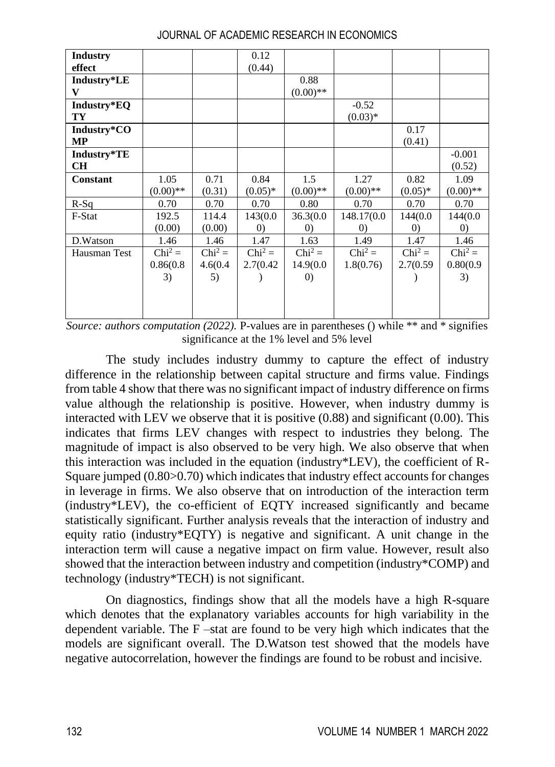| <b>Industry</b> |             |           | 0.12              |                   |                   |                   |                   |
|-----------------|-------------|-----------|-------------------|-------------------|-------------------|-------------------|-------------------|
| effect          |             |           | (0.44)            |                   |                   |                   |                   |
| Industry*LE     |             |           |                   | 0.88              |                   |                   |                   |
| V               |             |           |                   | $(0.00)$ **       |                   |                   |                   |
| Industry*EQ     |             |           |                   |                   | $-0.52$           |                   |                   |
| TY              |             |           |                   |                   | $(0.03)*$         |                   |                   |
| Industry*CO     |             |           |                   |                   |                   | 0.17              |                   |
| <b>MP</b>       |             |           |                   |                   |                   | (0.41)            |                   |
| Industry*TE     |             |           |                   |                   |                   |                   | $-0.001$          |
| <b>CH</b>       |             |           |                   |                   |                   |                   | (0.52)            |
| <b>Constant</b> | 1.05        | 0.71      | 0.84              | 1.5               | 1.27              | 0.82              | 1.09              |
|                 | $(0.00)$ ** | (0.31)    | $(0.05)^*$        | $(0.00)$ **       | $(0.00)**$        | $(0.05)^*$        | $(0.00)$ **       |
| $R-Sq$          | 0.70        | 0.70      | 0.70              | 0.80              | 0.70              | 0.70              | 0.70              |
| F-Stat          | 192.5       | 114.4     | 143(0.0           | 36.3(0.0)         | 148.17(0.0        | 144(0.0           | 144(0.0           |
|                 | (0.00)      | (0.00)    | $\left( 0\right)$ | $\left( 0\right)$ | $\left( 0\right)$ | $\left( 0\right)$ | $\left( 0\right)$ |
| D.Watson        | 1.46        | 1.46      | 1.47              | 1.63              | 1.49              | 1.47              | 1.46              |
| Hausman Test    | $Chi^2 =$   | $Chi^2 =$ | $Chi^2 =$         | $Chi^2 =$         | $Chi^2 =$         | $Chi^2 =$         | $Chi^2 =$         |
|                 | 0.86(0.8)   | 4.6(0.4)  | 2.7(0.42)         | 14.9(0.0          | 1.8(0.76)         | 2.7(0.59)         | 0.80(0.9)         |
|                 | 3)          | 5)        |                   | $\left( 0\right)$ |                   |                   | 3)                |
|                 |             |           |                   |                   |                   |                   |                   |
|                 |             |           |                   |                   |                   |                   |                   |
|                 |             |           |                   |                   |                   |                   |                   |

JOURNAL OF ACADEMIC RESEARCH IN ECONOMICS

*Source: authors computation (2022).* P-values are in parentheses () while \*\* and \* signifies significance at the 1% level and 5% level

The study includes industry dummy to capture the effect of industry difference in the relationship between capital structure and firms value. Findings from table 4 show that there was no significant impact of industry difference on firms value although the relationship is positive. However, when industry dummy is interacted with LEV we observe that it is positive (0.88) and significant (0.00). This indicates that firms LEV changes with respect to industries they belong. The magnitude of impact is also observed to be very high. We also observe that when this interaction was included in the equation (industry\*LEV), the coefficient of R-Square jumped (0.80>0.70) which indicates that industry effect accounts for changes in leverage in firms. We also observe that on introduction of the interaction term (industry\*LEV), the co-efficient of EQTY increased significantly and became statistically significant. Further analysis reveals that the interaction of industry and equity ratio (industry\*EQTY) is negative and significant. A unit change in the interaction term will cause a negative impact on firm value. However, result also showed that the interaction between industry and competition (industry\*COMP) and technology (industry\*TECH) is not significant.

On diagnostics, findings show that all the models have a high R-square which denotes that the explanatory variables accounts for high variability in the dependent variable. The F –stat are found to be very high which indicates that the models are significant overall. The D.Watson test showed that the models have negative autocorrelation, however the findings are found to be robust and incisive.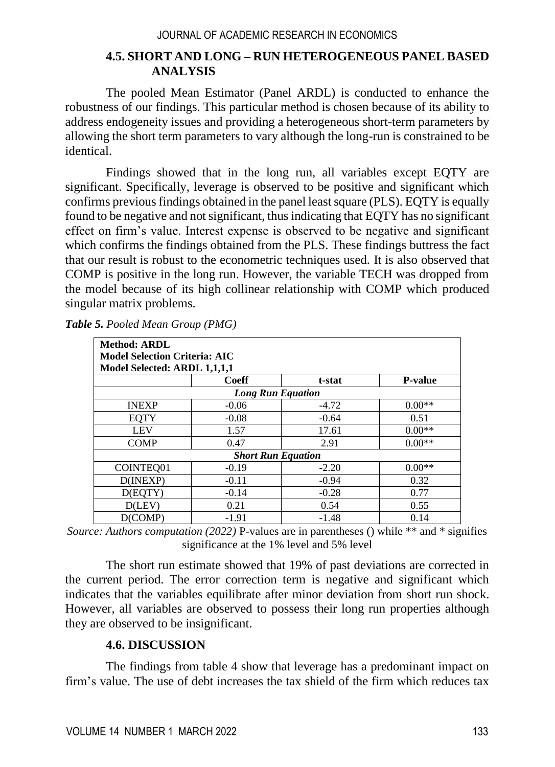### **4.5. SHORT AND LONG – RUN HETEROGENEOUS PANEL BASED ANALYSIS**

The pooled Mean Estimator (Panel ARDL) is conducted to enhance the robustness of our findings. This particular method is chosen because of its ability to address endogeneity issues and providing a heterogeneous short-term parameters by allowing the short term parameters to vary although the long-run is constrained to be identical.

Findings showed that in the long run, all variables except EQTY are significant. Specifically, leverage is observed to be positive and significant which confirms previous findings obtained in the panel least square (PLS). EQTY is equally found to be negative and not significant, thus indicating that EQTY has no significant effect on firm's value. Interest expense is observed to be negative and significant which confirms the findings obtained from the PLS. These findings buttress the fact that our result is robust to the econometric techniques used. It is also observed that COMP is positive in the long run. However, the variable TECH was dropped from the model because of its high collinear relationship with COMP which produced singular matrix problems.

| <b>Method: ARDL</b><br><b>Model Selection Criteria: AIC</b><br>Model Selected: ARDL 1,1,1,1 |                           |         |                |  |  |  |  |
|---------------------------------------------------------------------------------------------|---------------------------|---------|----------------|--|--|--|--|
|                                                                                             | <b>Coeff</b>              | t-stat  | <b>P-value</b> |  |  |  |  |
|                                                                                             | <b>Long Run Equation</b>  |         |                |  |  |  |  |
| <b>INEXP</b>                                                                                | $-0.06$                   | $-4.72$ | $0.00**$       |  |  |  |  |
| <b>EOTY</b>                                                                                 | $-0.08$                   | $-0.64$ | 0.51           |  |  |  |  |
| <b>LEV</b>                                                                                  | 1.57                      | 17.61   | $0.00**$       |  |  |  |  |
| <b>COMP</b>                                                                                 | 0.47                      | 2.91    | $0.00**$       |  |  |  |  |
|                                                                                             | <b>Short Run Equation</b> |         |                |  |  |  |  |
| COINTEO01                                                                                   | $-0.19$                   | $-2.20$ | $0.00**$       |  |  |  |  |
| D(INEXP)                                                                                    | $-0.11$                   | $-0.94$ | 0.32           |  |  |  |  |
| D(EOTY)                                                                                     | $-0.14$                   | $-0.28$ | 0.77           |  |  |  |  |
| D(LEV)                                                                                      | 0.21                      | 0.54    | 0.55           |  |  |  |  |
| D(COMP)                                                                                     | $-1.91$                   | $-1.48$ | 0.14           |  |  |  |  |

*Table 5. Pooled Mean Group (PMG)*

*Source: Authors computation (2022)* P-values are in parentheses () while \*\* and \* signifies significance at the 1% level and 5% level

The short run estimate showed that 19% of past deviations are corrected in the current period. The error correction term is negative and significant which indicates that the variables equilibrate after minor deviation from short run shock. However, all variables are observed to possess their long run properties although they are observed to be insignificant.

#### **4.6. DISCUSSION**

The findings from table 4 show that leverage has a predominant impact on firm's value. The use of debt increases the tax shield of the firm which reduces tax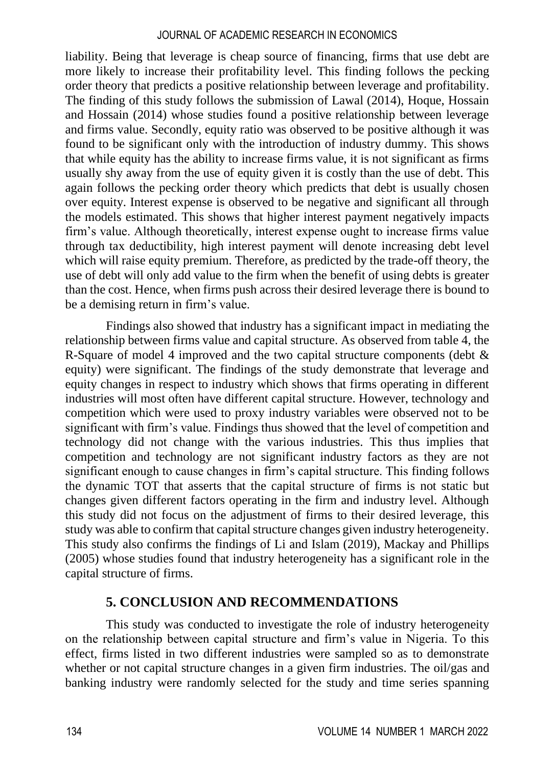liability. Being that leverage is cheap source of financing, firms that use debt are more likely to increase their profitability level. This finding follows the pecking order theory that predicts a positive relationship between leverage and profitability. The finding of this study follows the submission of Lawal (2014), Hoque, Hossain and Hossain (2014) whose studies found a positive relationship between leverage and firms value. Secondly, equity ratio was observed to be positive although it was found to be significant only with the introduction of industry dummy. This shows that while equity has the ability to increase firms value, it is not significant as firms usually shy away from the use of equity given it is costly than the use of debt. This again follows the pecking order theory which predicts that debt is usually chosen over equity. Interest expense is observed to be negative and significant all through the models estimated. This shows that higher interest payment negatively impacts firm's value. Although theoretically, interest expense ought to increase firms value through tax deductibility, high interest payment will denote increasing debt level which will raise equity premium. Therefore, as predicted by the trade-off theory, the use of debt will only add value to the firm when the benefit of using debts is greater than the cost. Hence, when firms push across their desired leverage there is bound to be a demising return in firm's value.

Findings also showed that industry has a significant impact in mediating the relationship between firms value and capital structure. As observed from table 4, the R-Square of model 4 improved and the two capital structure components (debt & equity) were significant. The findings of the study demonstrate that leverage and equity changes in respect to industry which shows that firms operating in different industries will most often have different capital structure. However, technology and competition which were used to proxy industry variables were observed not to be significant with firm's value. Findings thus showed that the level of competition and technology did not change with the various industries. This thus implies that competition and technology are not significant industry factors as they are not significant enough to cause changes in firm's capital structure. This finding follows the dynamic TOT that asserts that the capital structure of firms is not static but changes given different factors operating in the firm and industry level. Although this study did not focus on the adjustment of firms to their desired leverage, this study was able to confirm that capital structure changes given industry heterogeneity. This study also confirms the findings of Li and Islam (2019), Mackay and Phillips (2005) whose studies found that industry heterogeneity has a significant role in the capital structure of firms.

#### **5. CONCLUSION AND RECOMMENDATIONS**

This study was conducted to investigate the role of industry heterogeneity on the relationship between capital structure and firm's value in Nigeria. To this effect, firms listed in two different industries were sampled so as to demonstrate whether or not capital structure changes in a given firm industries. The oil/gas and banking industry were randomly selected for the study and time series spanning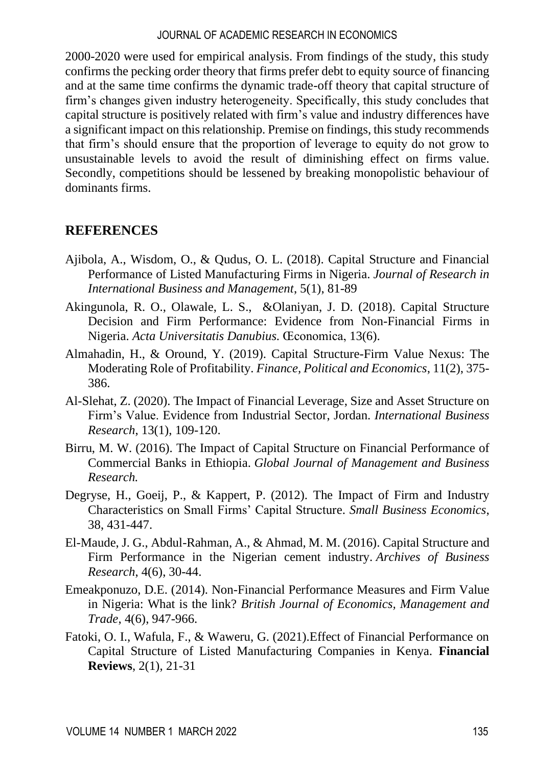2000-2020 were used for empirical analysis. From findings of the study, this study confirms the pecking order theory that firms prefer debt to equity source of financing and at the same time confirms the dynamic trade-off theory that capital structure of firm's changes given industry heterogeneity. Specifically, this study concludes that capital structure is positively related with firm's value and industry differences have a significant impact on this relationship. Premise on findings, this study recommends that firm's should ensure that the proportion of leverage to equity do not grow to unsustainable levels to avoid the result of diminishing effect on firms value. Secondly, competitions should be lessened by breaking monopolistic behaviour of dominants firms.

## **REFERENCES**

- Ajibola, A., Wisdom, O., & Qudus, O. L. (2018). Capital Structure and Financial Performance of Listed Manufacturing Firms in Nigeria. *Journal of Research in International Business and Management*, 5(1), 81-89
- Akingunola, R. O., Olawale, L. S., &Olaniyan, J. D. (2018). Capital Structure Decision and Firm Performance: Evidence from Non-Financial Firms in Nigeria. *Acta Universitatis Danubius*. Œconomica, 13(6).
- Almahadin, H., & Oround, Y. (2019). Capital Structure-Firm Value Nexus: The Moderating Role of Profitability. *Finance, Political and Economics*, 11(2), 375- 386.
- Al-Slehat, Z. (2020). The Impact of Financial Leverage, Size and Asset Structure on Firm's Value. Evidence from Industrial Sector, Jordan. *International Business Research*, 13(1), 109-120.
- Birru, M. W. (2016). The Impact of Capital Structure on Financial Performance of Commercial Banks in Ethiopia. *Global Journal of Management and Business Research.*
- Degryse, H., Goeij, P., & Kappert, P. (2012). The Impact of Firm and Industry Characteristics on Small Firms' Capital Structure. *Small Business Economics*, 38, 431-447.
- El-Maude, J. G., Abdul-Rahman, A., & Ahmad, M. M. (2016). Capital Structure and Firm Performance in the Nigerian cement industry. *Archives of Business Research*, 4(6), 30-44.
- Emeakponuzo, D.E. (2014). Non-Financial Performance Measures and Firm Value in Nigeria: What is the link? *British Journal of Economics, Management and Trade*, 4(6), 947-966.
- Fatoki, O. I., Wafula, F., & Waweru, G. (2021).Effect of Financial Performance on Capital Structure of Listed Manufacturing Companies in Kenya. **Financial Reviews**, 2(1), 21-31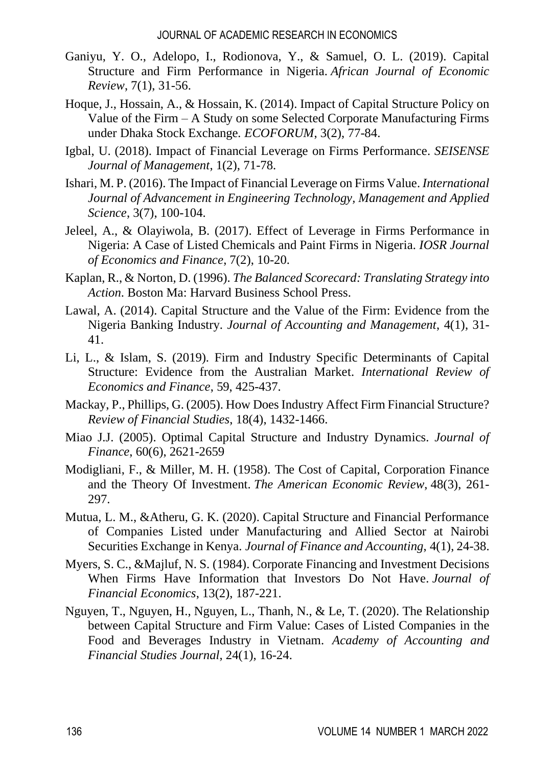- Ganiyu, Y. O., Adelopo, I., Rodionova, Y., & Samuel, O. L. (2019). Capital Structure and Firm Performance in Nigeria. *African Journal of Economic Review*, 7(1), 31-56.
- Hoque, J., Hossain, A., & Hossain, K. (2014). Impact of Capital Structure Policy on Value of the Firm – A Study on some Selected Corporate Manufacturing Firms under Dhaka Stock Exchange*. ECOFORUM*, 3(2), 77-84.
- Igbal, U. (2018). Impact of Financial Leverage on Firms Performance. *SEISENSE Journal of Management*, 1(2), 71-78.
- Ishari, M. P. (2016). The Impact of Financial Leverage on Firms Value. *International Journal of Advancement in Engineering Technology, Management and Applied Science*, 3(7), 100-104.
- Jeleel, A., & Olayiwola, B. (2017). Effect of Leverage in Firms Performance in Nigeria: A Case of Listed Chemicals and Paint Firms in Nigeria. *IOSR Journal of Economics and Finance*, 7(2), 10-20.
- Kaplan, R., & Norton, D. (1996). *The Balanced Scorecard: Translating Strategy into Action*. Boston Ma: Harvard Business School Press.
- Lawal, A. (2014). Capital Structure and the Value of the Firm: Evidence from the Nigeria Banking Industry. *Journal of Accounting and Management*, 4(1), 31- 41.
- Li, L., & Islam, S. (2019). Firm and Industry Specific Determinants of Capital Structure: Evidence from the Australian Market. *International Review of Economics and Finance*, 59, 425-437.
- Mackay, P., Phillips, G. (2005). How Does Industry Affect Firm Financial Structure? *Review of Financial Studies*, 18(4), 1432-1466.
- Miao J.J. (2005). Optimal Capital Structure and Industry Dynamics. *Journal of Finance*, 60(6), 2621-2659
- Modigliani, F., & Miller, M. H. (1958). The Cost of Capital, Corporation Finance and the Theory Of Investment. *The American Economic Review*, 48(3), 261- 297.
- Mutua, L. M., &Atheru, G. K. (2020). Capital Structure and Financial Performance of Companies Listed under Manufacturing and Allied Sector at Nairobi Securities Exchange in Kenya. *Journal of Finance and Accounting*, 4(1), 24-38.
- Myers, S. C., &Majluf, N. S. (1984). Corporate Financing and Investment Decisions When Firms Have Information that Investors Do Not Have. *Journal of Financial Economics*, 13(2), 187-221.
- Nguyen, T., Nguyen, H., Nguyen, L., Thanh, N., & Le, T. (2020). The Relationship between Capital Structure and Firm Value: Cases of Listed Companies in the Food and Beverages Industry in Vietnam. *Academy of Accounting and Financial Studies Journal*, 24(1), 16-24.